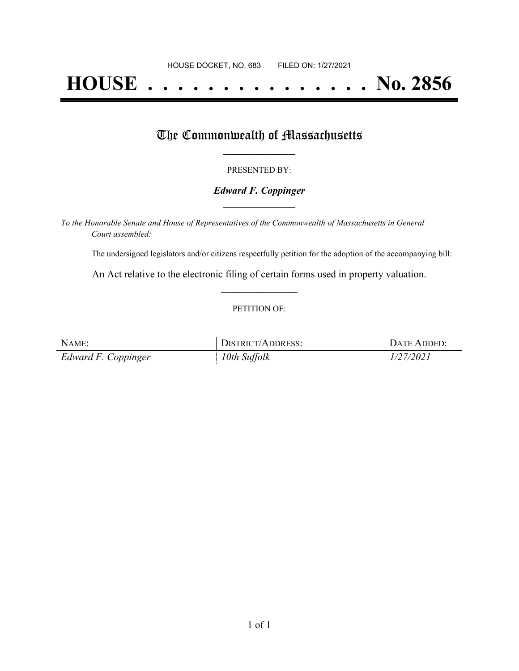# **HOUSE . . . . . . . . . . . . . . . No. 2856**

### The Commonwealth of Massachusetts

#### PRESENTED BY:

#### *Edward F. Coppinger* **\_\_\_\_\_\_\_\_\_\_\_\_\_\_\_\_\_**

*To the Honorable Senate and House of Representatives of the Commonwealth of Massachusetts in General Court assembled:*

The undersigned legislators and/or citizens respectfully petition for the adoption of the accompanying bill:

An Act relative to the electronic filing of certain forms used in property valuation. **\_\_\_\_\_\_\_\_\_\_\_\_\_\_\_**

#### PETITION OF:

| NAME:               | <b>DISTRICT/ADDRESS:</b> | DATE ADDED: |
|---------------------|--------------------------|-------------|
| Edward F. Coppinger | 10th Suffolk             | 1/27/2021   |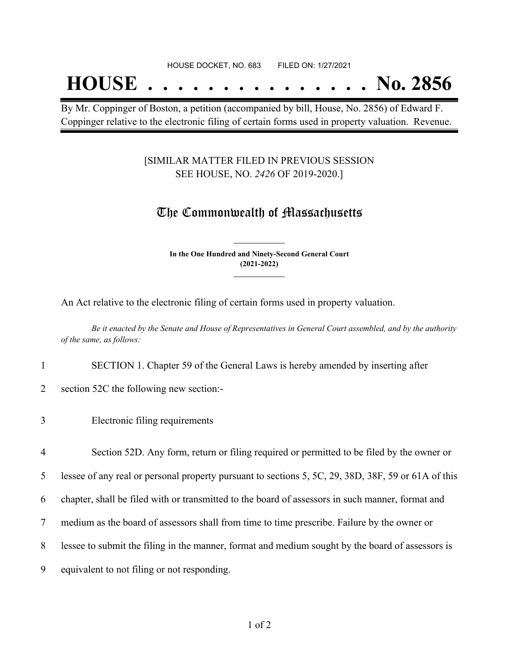## **HOUSE . . . . . . . . . . . . . . . No. 2856**

By Mr. Coppinger of Boston, a petition (accompanied by bill, House, No. 2856) of Edward F. Coppinger relative to the electronic filing of certain forms used in property valuation. Revenue.

#### [SIMILAR MATTER FILED IN PREVIOUS SESSION SEE HOUSE, NO. *2426* OF 2019-2020.]

## The Commonwealth of Massachusetts

**In the One Hundred and Ninety-Second General Court (2021-2022) \_\_\_\_\_\_\_\_\_\_\_\_\_\_\_**

**\_\_\_\_\_\_\_\_\_\_\_\_\_\_\_**

An Act relative to the electronic filing of certain forms used in property valuation.

Be it enacted by the Senate and House of Representatives in General Court assembled, and by the authority *of the same, as follows:*

- 1 SECTION 1. Chapter 59 of the General Laws is hereby amended by inserting after
- 2 section 52C the following new section:-
- 3 Electronic filing requirements
- 4 Section 52D. Any form, return or filing required or permitted to be filed by the owner or

5 lessee of any real or personal property pursuant to sections 5, 5C, 29, 38D, 38F, 59 or 61A of this

6 chapter, shall be filed with or transmitted to the board of assessors in such manner, format and

- 7 medium as the board of assessors shall from time to time prescribe. Failure by the owner or
- 8 lessee to submit the filing in the manner, format and medium sought by the board of assessors is
- 9 equivalent to not filing or not responding.